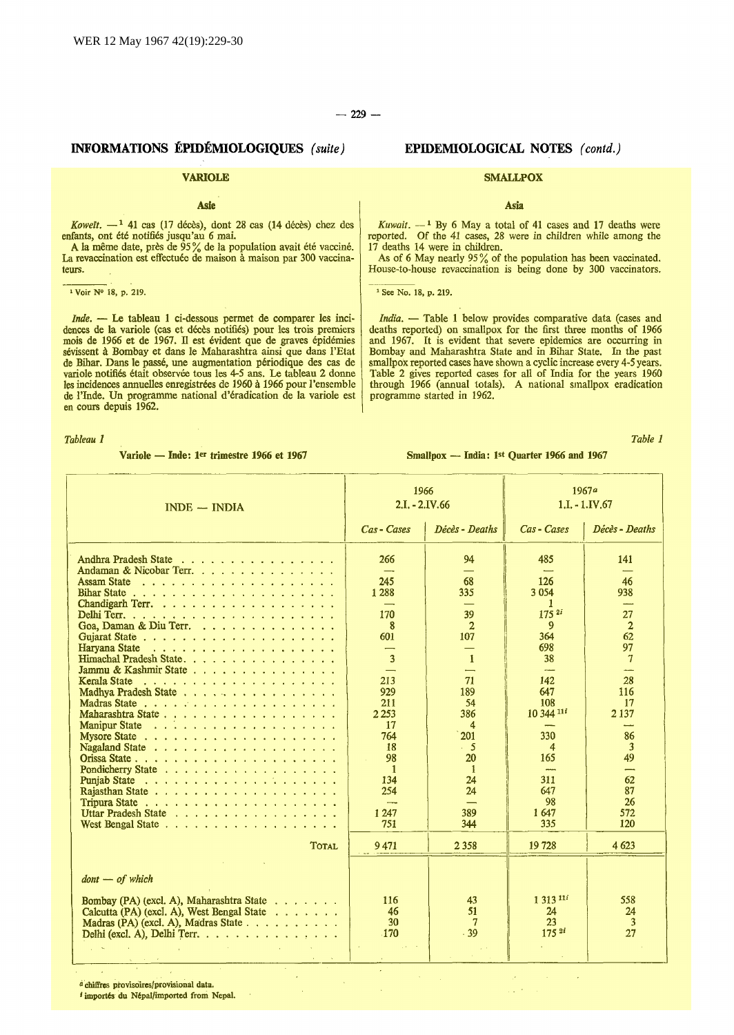# INFORMATIONS EPIDEMIOLOGIQUES *(suite)*

## VARIOLE

## Asie

*Koweït.* - <sup>1</sup> 41 cas (17 décès), dont 28 cas (14 décès) chez des enfants, ont été notifiés jusqu'au 6 mai.

A la même date, près de  $95\%$  de la population avait été vacciné. La revaccination est effectuée de maison à maison par 300 vaccinateurs.

 $\overline{1 \text{ Voir } N^{\circ} 18, p. 219}.$ 

*Inde.* - Le tableau 1 ci-dessous permet de comparer les incidences de la variole (cas et décès notifiés) pour les trois premiers<br>mois de 1966 et de 1967. Il est évident que de graves épidémies sevissent a Bombay et dans le Maharashtra ainsi que dans l'Etat de Bihar. Dans le passé, une augmentation périodique des cas de variole notifiés était observée tous les 4-5 ans. Le tableau 2 donne<br>les incidences annuelles enregistrées de 1960 à 1966 pour l'ensemble de l'Inde. Un programme national d'eradication de la variole est en cours depuis 1962.

*Tableau 1* 

Variole - Inde: 1<sup>er</sup> trimestre 1966 et 1967

## EPIDEMIOLOGICAL NOTES *( contd.)*

### **SMALLPOX**

Asia

*Kuwait.*  $-$ <sup>1</sup> By 6 May a total of 41 cases and 17 deaths were reported. Of the 41 cases, 28 were in children while among the 17 deaths 14 were in children.

As of 6 May nearly 95% of the population has been vaccinated. House-to-house revaccination is being done by 300 vaccinators.

<sup>1</sup> See No. 18, p. 219.

*India.* - Table 1 below provides comparative data (cases and deaths reported) on smallpox for the first three months of 1966 and 1967. It is evident that severe epidemics are occurring in Bombay and Maharashtra State and in Bihar State. In the past smallpox reported cases have shown a cyclic increase every 4-5 years. Table 2 gives reported cases for all of India for the years 1960 through 1966 (annual totals). A national smallpox eradication programme started in 1962.

*Table 1* 

Smallpox - India: 1st Quarter 1966 and 1967

| $INDE$ - $INDIA$                                                                                                                                                                                                                                                                                                                                                                                                                                         | 1966<br>$2.I. - 2.IV.66$                                                                                                                                                                                                           |                                                                                                                                                                                       | 1967a                                                                                                                                                                           | $1.I. - 1.IV.67$                                                                                                                                       |
|----------------------------------------------------------------------------------------------------------------------------------------------------------------------------------------------------------------------------------------------------------------------------------------------------------------------------------------------------------------------------------------------------------------------------------------------------------|------------------------------------------------------------------------------------------------------------------------------------------------------------------------------------------------------------------------------------|---------------------------------------------------------------------------------------------------------------------------------------------------------------------------------------|---------------------------------------------------------------------------------------------------------------------------------------------------------------------------------|--------------------------------------------------------------------------------------------------------------------------------------------------------|
|                                                                                                                                                                                                                                                                                                                                                                                                                                                          | Cas - Cases                                                                                                                                                                                                                        | Décès - Deaths                                                                                                                                                                        | Cas - Cases                                                                                                                                                                     | Décès - Deaths                                                                                                                                         |
| Andhra Pradesh State<br>Andaman & Nicobar Terr.<br>Goa, Daman & Diu Terr.<br>Himachal Pradesh State.<br>Jammu & Kashmir State<br>Kerala State residence and response to the state of the state of the state of the state of the state of the state of the state of the state of the state of the state of the state of the state of the state of the state of t<br>Madhya Pradesh State<br>Maharashtra State<br>Uttar Pradesh State<br>West Bengal State | 266<br>---<br>245<br>1 2 8 8<br>170<br>8<br>601<br>$\overline{\phantom{0}}$<br>$\overline{3}$<br>213<br>929<br>211<br>2 2 5 3<br>17<br>764<br>18<br>98<br>$\overline{1}$<br>134<br>254<br>$\overline{\phantom{a}}$<br>1 247<br>751 | 94<br>68<br>335<br>39<br>$\mathbf{2}$<br>107<br>$\overline{\phantom{0}}$<br>$\mathbf{1}$<br>71<br>189<br>54<br>386<br>4<br>201<br>- 5<br>20<br>$\mathbf{1}$<br>24<br>24<br>389<br>344 | 485<br>126<br>3 0 5 4<br>ı.<br>$175^{2i}$<br>$\mathbf{Q}$<br>364<br>698<br>38<br>142<br>647<br>108<br>10 344 11i<br>330<br>4<br>165<br>-----<br>311<br>647<br>98<br>1647<br>335 | 141<br>46<br>938<br>27<br>$\overline{2}$<br>62<br>97<br>$7\phantom{.0}$<br>28<br>116<br>17<br>2 1 3 7<br>86<br>3<br>49<br>62<br>87<br>26<br>572<br>120 |
| <b>TOTAL</b>                                                                                                                                                                                                                                                                                                                                                                                                                                             | 9471                                                                                                                                                                                                                               | 2 3 5 8                                                                                                                                                                               | 19728                                                                                                                                                                           | 4 623                                                                                                                                                  |
| $d$ ont $-$ of which<br>Bombay (PA) (excl. A), Maharashtra State<br>Calcutta (PA) (excl. A), West Bengal State<br>Madras (PA) (excl. A), Madras State<br>Delhi (excl. A), Delhi Terr. $\ldots$ , $\ldots$ , $\ldots$ , $\ldots$ , $\ldots$ , $\ldots$                                                                                                                                                                                                    | 116<br>46<br>30<br>.170                                                                                                                                                                                                            | 43<br>51<br>.39                                                                                                                                                                       | 1 313 111<br>24<br>23<br>$175^{2i}$                                                                                                                                             | 558<br>24<br>$\overline{3}$<br>27                                                                                                                      |

*a* chiffres provisoires/provisional data.

<sup>I</sup>import6s du N6pal/importcd from Nepal.